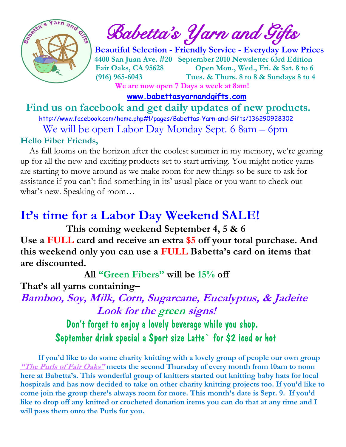

 $\int_{a}^{\infty}$  **Babetta's** *Yarn and Gifts* 

 **Beautiful Selection - Friendly Service - Everyday Low Prices 4400 San Juan Ave. #20 September 2010 Newsletter 63rd Edition Fair Oaks, CA 95628 Open Mon., Wed., Fri. & Sat. 8 to 6 (916) 965-6043 Tues. & Thurs. 8 to 8 & Sundays 8 to 4 We are now open 7 Days a week at 8am!** 

 **[www.babettasyarnandgifts.com](http://www.babettasyarnandgifts.com/)**

 **Find us on facebook and get daily updates of new products.** 

 <http://www.facebook.com/home.php#!/pages/Babettas-Yarn-and-Gifts/136290928302> We will be open Labor Day Monday Sept. 6 8am – 6pm

#### **Hello Fiber Friends,**

 As fall looms on the horizon after the coolest summer in my memory, we're gearing up for all the new and exciting products set to start arriving. You might notice yarns are starting to move around as we make room for new things so be sure to ask for assistance if you can't find something in its' usual place or you want to check out what's new. Speaking of room…

# **It's time for a Labor Day Weekend SALE!**

 **This coming weekend September 4, 5 & 6 Use a FULL card and receive an extra \$5 off your total purchase. And this weekend only you can use a FULL Babetta's card on items that are discounted.**

 **All "Green Fibers" will be 15% off**

**That's all yarns containing–**

**Bamboo, Soy, Milk, Corn, Sugarcane, Eucalyptus, & Jadeite Look for the green signs!**

> Don't forget to enjoy a lovely beverage while you shop. September drink special a Sport size Latte` for \$2 iced or hot

 **If you'd like to do some charity knitting with a lovely group of people our own group "The Purls of Fair Oaks" meets the second Thursday of every month from 10am to noon here at Babetta's. This wonderful group of knitters started out knitting baby hats for local hospitals and has now decided to take on other charity knitting projects too. If you'd like to come join the group there's always room for more. This month's date is Sept. 9. If you'd like to drop off any knitted or crocheted donation items you can do that at any time and I will pass them onto the Purls for you.**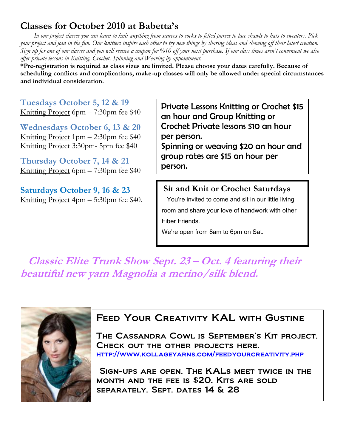## **Classes for October 2010 at Babetta's**

 *In our project classes you can learn to knit anything from scarves to socks to felted purses to lace shawls to hats to sweaters. Pick your project and join in the fun. Our knitters inspire each other to try new things by sharing ideas and showing off their latest creation. Sign up for one of our classes and you will receive a coupon for %10 off your next purchase. If our class times aren't convenient we also offer private lessons in Knitting, Crochet, Spinning and Weaving by appointment.*

**\*Pre-registration is required as class sizes are limited. Please choose your dates carefully. Because of scheduling conflicts and complications, make-up classes will only be allowed under special circumstances and individual consideration.**

**Tuesdays October 5, 12 & 19** Knitting Project 6pm – 7:30pm fee \$40

**Wednesdays October 6, 13 & 20** Knitting Project 1pm – 2:30pm fee \$40 Knitting Project 3:30pm- 5pm fee \$40

**Thursday October 7, 14 & 21** Knitting Project 6pm – 7:30pm fee \$40

**Saturdays October 9, 16 & 23** Knitting Project 4pm – 5:30pm fee \$40.

Private Lessons Knitting or Crochet \$15 an hour and Group Knitting or Crochet Private lessons \$10 an hour per person. Spinning or weaving \$20 an hour and

group rates are \$15 an hour per person.

#### **Sit and Knit or Crochet Saturdays**

 You're invited to come and sit in our little living room and share your love of handwork with other Fiber Friends.

We're open from 8am to 6pm on Sat.

 **Classic Elite Trunk Show Sept. 23 – Oct. 4 featuring their beautiful new yarn Magnolia a merino/silk blend.**



#### FEED YOUR CREATIVITY KAL WITH GUSTINE

The Cassandra Cowl is September's Kit project. Check out the other projects here. <http://www.kollageyarns.com/feedyourcreativity.php>

Sign-ups are open. The KALs meet twice in the month and the fee is \$20. Kits are sold separately. Sept. dates 14 & 28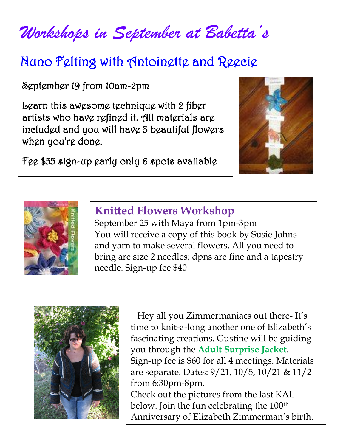*Workshops in September at Babetta's*

# Nuno Felting with Antoinette and Reecie

September 19 from 10am-2pm

Learn this awesome technique with 2 fiber artists who have refined it. All materials are included and you will have 3 beautiful flowers when you're done.

Fee \$55 sign-up early only 6 spots available





## **Knitted Flowers Workshop**

September 25 with Maya from 1pm-3pm You will receive a copy of this book by Susie Johns and yarn to make several flowers. All you need to bring are size 2 needles; dpns are fine and a tapestry needle. Sign-up fee \$40



 Anniversary of Elizabeth Zimmerman's birth. Hey all you Zimmermaniacs out there- It's time to knit-a-long another one of Elizabeth's fascinating creations. Gustine will be guiding you through the **Adult Surprise Jacket**. Sign-up fee is \$60 for all 4 meetings. Materials are separate. Dates: 9/21, 10/5, 10/21 & 11/2 from 6:30pm-8pm. Check out the pictures from the last KAL below. Join the fun celebrating the 100<sup>th</sup>